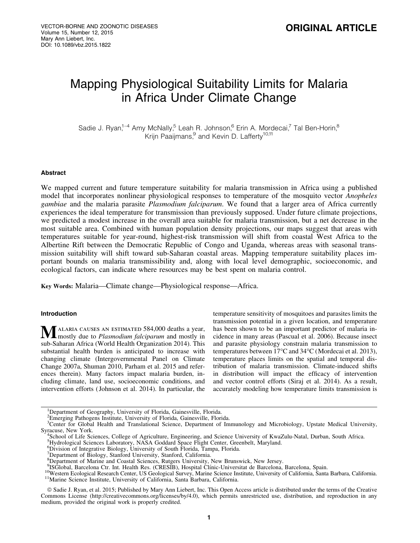# Mapping Physiological Suitability Limits for Malaria in Africa Under Climate Change

Sadie J. Ryan, $1-4$  Amy McNally,<sup>5</sup> Leah R. Johnson,<sup>6</sup> Erin A. Mordecai,<sup>7</sup> Tal Ben-Horin,<sup>8</sup> Krijn Paaijmans,<sup>9</sup> and Kevin D. Lafferty<sup>10,11</sup>

# Abstract

We mapped current and future temperature suitability for malaria transmission in Africa using a published model that incorporates nonlinear physiological responses to temperature of the mosquito vector *Anopheles gambiae* and the malaria parasite *Plasmodium falciparum*. We found that a larger area of Africa currently experiences the ideal temperature for transmission than previously supposed. Under future climate projections, we predicted a modest increase in the overall area suitable for malaria transmission, but a net decrease in the most suitable area. Combined with human population density projections, our maps suggest that areas with temperatures suitable for year-round, highest-risk transmission will shift from coastal West Africa to the Albertine Rift between the Democratic Republic of Congo and Uganda, whereas areas with seasonal transmission suitability will shift toward sub-Saharan coastal areas. Mapping temperature suitability places important bounds on malaria transmissibility and, along with local level demographic, socioeconomic, and ecological factors, can indicate where resources may be best spent on malaria control.

Key Words: Malaria—Climate change—Physiological response—Africa.

## Introduction

**MALARIA CAUSES AN ESTIMATED 584,000 deaths a year,** and mostly due to *Plasmodium falciparum* and mostly in sub-Saharan Africa (World Health Organization 2014). This substantial health burden is anticipated to increase with changing climate (Intergovernmental Panel on Climate Change 2007a, Shuman 2010, Parham et al. 2015 and references therein). Many factors impact malaria burden, including climate, land use, socioeconomic conditions, and intervention efforts (Johnson et al. 2014). In particular, the temperature sensitivity of mosquitoes and parasites limits the transmission potential in a given location, and temperature has been shown to be an important predictor of malaria incidence in many areas (Pascual et al. 2006). Because insect and parasite physiology constrain malaria transmission to temperatures between 17°C and 34°C (Mordecai et al. 2013), temperature places limits on the spatial and temporal distribution of malaria transmission. Climate-induced shifts in distribution will impact the efficacy of intervention and vector control efforts (Siraj et al. 2014). As a result, accurately modeling how temperature limits transmission is

ª Sadie J. Ryan, et al. 2015; Published by Mary Ann Liebert, Inc. This Open Access article is distributed under the terms of the Creative Commons License (http://creativecommons.org/licenses/by/4.0), which permits unrestricted use, distribution, and reproduction in any medium, provided the original work is properly credited.

<sup>&</sup>lt;sup>1</sup>Department of Geography, University of Florida, Gainesville, Florida.

<sup>2</sup> Emerging Pathogens Institute, University of Florida, Gainesville, Florida.

<sup>&</sup>lt;sup>3</sup>Center for Global Health and Translational Science, Department of Immunology and Microbiology, Upstate Medical University, Syracuse, New York. <sup>4</sup>

School of Life Sciences, College of Agriculture, Engineering, and Science University of KwaZulu-Natal, Durban, South Africa.

<sup>&</sup>lt;sup>5</sup>Hydrological Sciences Laboratory, NASA Goddard Space Flight Center, Greenbelt, Maryland.

<sup>6</sup> Division of Integrative Biology, University of South Florida, Tampa, Florida.

<sup>&</sup>lt;sup>7</sup>Department of Biology, Stanford University, Stanford, California.

<sup>&</sup>lt;sup>8</sup>Department of Marine and Coastal Sciences, Rutgers University, New Brunswick, New Jersey.

<sup>&</sup>lt;sup>9</sup>ISGlobal, Barcelona Ctr. Int. Health Res. (CRESIB), Hospital Clínic-Universitat de Barcelona, Barcelona, Spain.

<sup>&</sup>lt;sup>10</sup>Western Ecological Research Center, US Geological Survey, Marine Science Institute, University of California, Santa Barbara, California.<br><sup>11</sup>Marine Science Institute, University of California, Santa Barbara, California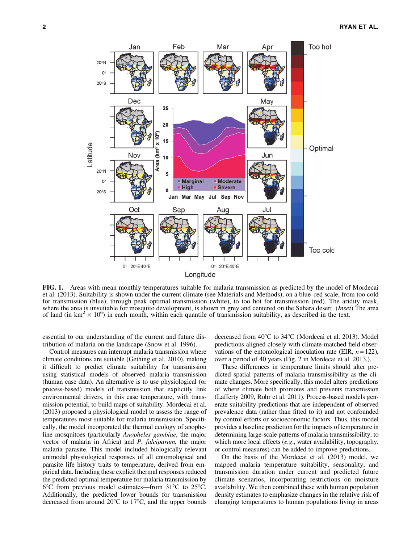

FIG. 1. Areas with mean monthly temperatures suitable for malaria transmission as predicted by the model of Mordecai et al. (2013). Suitability is shown under the current climate (see Materials and Methods), on a blue–red scale, from too cold for transmission (blue), through peak optimal transmission (white), to too hot for transmission (red). The aridity mask, where the area is unsuitable for mosquito development, is shown in grey and centered on the Sahara desert. (*Inset*) The area of land (in  $km^2 \times 10^6$ ) in each month, within each quantile of transmission suitability, as described in the text.

essential to our understanding of the current and future distribution of malaria on the landscape (Snow et al. 1996).

Control measures can interrupt malaria transmission where climate conditions are suitable (Gething et al. 2010), making it difficult to predict climate suitability for transmission using statistical models of observed malaria transmission (human case data). An alternative is to use physiological (or process-based) models of transmission that explicitly link environmental drivers, in this case temperature, with transmission potential, to build maps of suitability. Mordecai et al. (2013) proposed a physiological model to assess the range of temperatures most suitable for malaria transmission. Specifically, the model incorporated the thermal ecology of anopheline mosquitoes (particularly *Anopheles gambiae*, the major vector of malaria in Africa) and *P. falciparum,* the major malaria parasite. This model included biologically relevant unimodal physiological responses of all entomological and parasite life history traits to temperature, derived from empirical data. Including these explicit thermal responses reduced the predicted optimal temperature for malaria transmission by  $6^{\circ}$ C from previous model estimates—from 31 $^{\circ}$ C to 25 $^{\circ}$ C. Additionally, the predicted lower bounds for transmission decreased from around  $20^{\circ}$ C to 17 $^{\circ}$ C, and the upper bounds

decreased from 40°C to 34°C (Mordecai et al. 2013). Model predictions aligned closely with climate-matched field observations of the entomological inoculation rate (EIR,  $n = 122$ ), over a period of 40 years (Fig. 2 in Mordecai et al. 2013,).

These differences in temperature limits should alter predicted spatial patterns of malaria transmissibility as the climate changes. More specifically, this model alters predictions of where climate both promotes and prevents transmission (Lafferty 2009, Rohr et al. 2011). Process-based models generate suitability predictions that are independent of observed prevalence data (rather than fitted to it) and not confounded by control efforts or socioeconomic factors. Thus, this model provides a baseline prediction for the impacts of temperature in determining large-scale patterns of malaria transmissibility, to which more local effects (*e.g*., water availability, topography, or control measures) can be added to improve predictions.

On the basis of the Mordecai et al. (2013) model, we mapped malaria temperature suitability, seasonality, and transmission duration under current and predicted future climate scenarios, incorporating restrictions on moisture availability. We then combined these with human population density estimates to emphasize changes in the relative risk of changing temperatures to human populations living in areas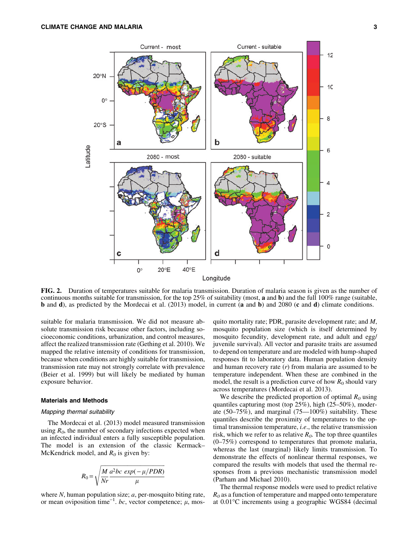

FIG. 2. Duration of temperatures suitable for malaria transmission. Duration of malaria season is given as the number of continuous months suitable for transmission, for the top 25% of suitability (most, a and b) and the full 100% range (suitable, b and d), as predicted by the Mordecai et al. (2013) model, in current (a and b) and 2080 (c and d) climate conditions.

suitable for malaria transmission. We did not measure absolute transmission risk because other factors, including socioeconomic conditions, urbanization, and control measures, affect the realized transmission rate (Gething et al. 2010). We mapped the relative intensity of conditions for transmission, because when conditions are highly suitable for transmission, transmission rate may not strongly correlate with prevalence (Beier et al. 1999) but will likely be mediated by human exposure behavior.

### Materials and Methods

#### Mapping thermal suitability

The Mordecai et al. (2013) model measured transmission using  $R_0$ , the number of secondary infections expected when an infected individual enters a fully susceptible population. The model is an extension of the classic Kermack– McKendrick model, and  $R_0$  is given by:

$$
R_0 = \sqrt{\frac{M}{Nr} \frac{a^2bc \exp(-\mu/PDR)}{\mu}}
$$

where *N*, human population size; *a*, per-mosquito biting rate, or mean oviposition time<sup>-1</sup>. *bc*, vector competence;  $\mu$ , mosquito mortality rate; PDR, parasite development rate; and *M*, mosquito population size (which is itself determined by mosquito fecundity, development rate, and adult and egg/ juvenile survival). All vector and parasite traits are assumed to depend on temperature and are modeled with hump-shaped responses fit to laboratory data. Human population density and human recovery rate (*r*) from malaria are assumed to be temperature independent. When these are combined in the model, the result is a prediction curve of how  $R_0$  should vary across temperatures (Mordecai et al. 2013).

We describe the predicted proportion of optimal  $R_0$  using quantiles capturing most (top 25%), high (25–50%), moderate (50–75%), and marginal (75—100%) suitability. These quantiles describe the proximity of temperatures to the optimal transmission temperature, *i.e*., the relative transmission risk, which we refer to as relative  $R_0$ . The top three quantiles (0–75%) correspond to temperatures that promote malaria, whereas the last (marginal) likely limits transmission. To demonstrate the effects of nonlinear thermal responses, we compared the results with models that used the thermal responses from a previous mechanistic transmission model (Parham and Michael 2010).

The thermal response models were used to predict relative *R0* as a function of temperature and mapped onto temperature at 0.01°C increments using a geographic WGS84 (decimal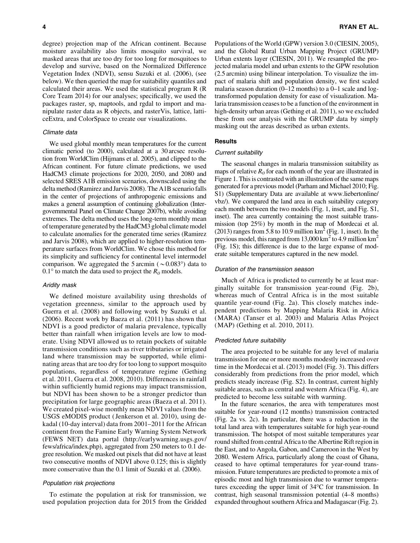degree) projection map of the African continent. Because moisture availability also limits mosquito survival, we masked areas that are too dry for too long for mosquitoes to develop and survive, based on the Normalized Difference Vegetation Index (NDVI), sensu Suzuki et al. (2006), (see below). We then queried the map for suitability quantiles and calculated their areas. We used the statistical program R (R Core Team 2014) for our analyses; specifically, we used the packages raster, sp, maptools, and rgdal to import and manipulate raster data as R objects, and rasterVis, lattice, latticeExtra, and ColorSpace to create our visualizations.

#### Climate data

We used global monthly mean temperatures for the current climatic period (to 2000), calculated at a 30 arcsec resolution from WorldClim (Hijmans et al. 2005), and clipped to the African continent. For future climate predictions, we used HadCM3 climate projections for 2020, 2050, and 2080 and selected SRES A1B emission scenarios, downscaled using the delta method (Ramirez and Jarvis 2008). The A1B scenario falls in the center of projections of anthropogenic emissions and makes a general assumption of continuing globalization (Intergovernmental Panel on Climate Change 2007b), while avoiding extremes. The delta method uses the long-term monthly mean of temperature generated by the HadCM3 global climate model to calculate anomalies for the generated time series (Ramirez and Jarvis 2008), which are applied to higher-resolution temperature surfaces from WorldClim. We chose this method for its simplicity and sufficiency for continental level intermodel comparison. We aggregated the 5 arcmin  $(\sim 0.083^{\circ})$  data to  $0.1^{\circ}$  to match the data used to project the  $R_0$  models.

#### Aridity mask

We defined moisture availability using thresholds of vegetation greenness, similar to the approach used by Guerra et al. (2008) and following work by Suzuki et al. (2006). Recent work by Baeza et al. (2011) has shown that NDVI is a good predictor of malaria prevalence, typically better than rainfall when irrigation levels are low to moderate. Using NDVI allowed us to retain pockets of suitable transmission conditions such as river tributaries or irrigated land where transmission may be supported, while eliminating areas that are too dry for too long to support mosquito populations, regardless of temperature regime (Gething et al. 2011, Guerra et al. 2008, 2010). Differences in rainfall within sufficiently humid regions may impact transmission, but NDVI has been shown to be a stronger predictor than precipitation for large geographic areas (Baeza et al. 2011). We created pixel-wise monthly mean NDVI values from the USGS eMODIS product ( Jenkerson et al. 2010), using dekadal (10-day interval) data from 2001–2011 for the African continent from the Famine Early Warning System Network (FEWS NET) data portal (http://earlywarning.usgs.gov/ fews/africa/index.php), aggregated from 250 meters to 0.1 degree resolution. We masked out pixels that did not have at least two consecutive months of NDVI above 0.125; this is slightly more conservative than the 0.1 limit of Suzuki et al. (2006).

## Population risk projections

To estimate the population at risk for transmission, we used population projection data for 2015 from the Gridded Populations of the World (GPW) version 3.0 (CIESIN, 2005), and the Global Rural Urban Mapping Project (GRUMP) Urban extents layer (CIESIN, 2011). We resampled the projected malaria model and urban extents to the GPW resolution (2.5 arcmin) using bilinear interpolation. To visualize the impact of malaria shift and population density, we first scaled malaria season duration  $(0-12 \text{ months})$  to a  $0-1$  scale and logtransformed population density for ease of visualization. Malaria transmission ceases to be a function of the environment in high-density urban areas (Gething et al. 2011), so we excluded these from our analysis with the GRUMP data by simply masking out the areas described as urban extents.

## **Results**

#### Current suitability

The seasonal changes in malaria transmission suitability as maps of relative  $R_0$  for each month of the year are illustrated in Figure 1. This is contrasted with an illustration of the same maps generated for a previous model (Parham and Michael 2010; Fig. S1) (Supplementary Data are available at www.liebertonline/ vbz/). We compared the land area in each suitability category each month between the two models (Fig. 1, inset, and Fig. S1, inset). The area currently containing the most suitable transmission (top 25%) by month in the map of Mordecai et al. (2013) ranges from 5.8 to 10.9 million  $km^2$  (Fig. 1, inset). In the previous model, this ranged from  $13,000 \text{ km}^2$  to 4.9 million km<sup>2</sup> (Fig. 1S); this difference is due to the large expanse of moderate suitable temperatures captured in the new model.

#### Duration of the transmission season

Much of Africa is predicted to currently be at least marginally suitable for transmission year-round (Fig. 2b), whereas much of Central Africa is in the most suitable quantile year-round (Fig. 2a). This closely matches independent predictions by Mapping Malaria Risk in Africa (MARA) (Tanser et al. 2003) and Malaria Atlas Project (MAP) (Gething et al. 2010, 2011).

#### Predicted future suitability

The area projected to be suitable for any level of malaria transmission for one or more months modestly increased over time in the Mordecai et al. (2013) model (Fig. 3). This differs considerably from predictions from the prior model, which predicts steady increase (Fig. S2). In contrast, current highly suitable areas, such as central and western Africa (Fig. 4), are predicted to become less suitable with warming.

In the future scenarios, the area with temperatures most suitable for year-round (12 months) transmission contracted (Fig. 2a vs. 2c). In particular, there was a reduction in the total land area with temperatures suitable for high year-round transmission. The hotspot of most suitable temperatures year round shifted from central Africa to the Albertine Rift region in the East, and to Angola, Gabon, and Cameroon in the West by 2080. Western Africa, particularly along the coast of Ghana, ceased to have optimal temperatures for year-round transmission. Future temperatures are predicted to promote a mix of episodic most and high transmission due to warmer temperatures exceeding the upper limit of 34°C for transmission. In contrast, high seasonal transmission potential (4–8 months) expanded throughout southern Africa and Madagascar (Fig. 2).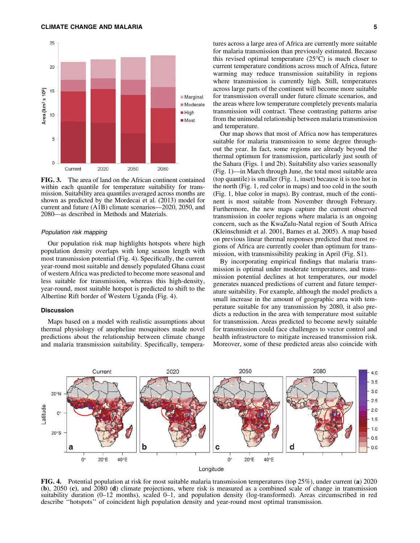

FIG. 3. The area of land on the African continent contained within each quantile for temperature suitability for transmission. Suitability area quantiles averaged across months are shown as predicted by the Mordecai et al. (2013) model for current and future (A1B) climate scenarios—2020, 2050, and 2080—as described in Methods and Materials.

#### Population risk mapping

Our population risk map highlights hotspots where high population density overlaps with long season length with most transmission potential (Fig. 4). Specifically, the current year-round most suitable and densely populated Ghana coast of western Africa was predicted to become more seasonal and less suitable for transmission, whereas this high-density, year-round, most suitable hotspot is predicted to shift to the Albertine Rift border of Western Uganda (Fig. 4).

#### **Discussion**

Maps based on a model with realistic assumptions about thermal physiology of anopheline mosquitoes made novel predictions about the relationship between climate change and malaria transmission suitability. Specifically, temperatures across a large area of Africa are currently more suitable for malaria transmission than previously estimated. Because this revised optimal temperature  $(25^{\circ}C)$  is much closer to current temperature conditions across much of Africa, future warming may reduce transmission suitability in regions where transmission is currently high. Still, temperatures across large parts of the continent will become more suitable for transmission overall under future climate scenarios, and the areas where low temperature completely prevents malaria transmission will contract. These contrasting patterns arise from the unimodal relationship between malaria transmission and temperature.

Our map shows that most of Africa now has temperatures suitable for malaria transmission to some degree throughout the year. In fact, some regions are already beyond the thermal optimum for transmission, particularly just south of the Sahara (Figs. 1 and 2b). Suitability also varies seasonally (Fig. 1)—in March through June, the total most suitable area (top quantile) is smaller (Fig. 1, inset) because it is too hot in the north (Fig. 1, red color in maps) and too cold in the south (Fig. 1, blue color in maps). By contrast, much of the continent is most suitable from November through February. Furthermore, the new maps capture the current observed transmission in cooler regions where malaria is an ongoing concern, such as the KwaZulu-Natal region of South Africa (Kleinschmidt et al. 2001, Barnes et al. 2005). A map based on previous linear thermal responses predicted that most regions of Africa are currently cooler than optimum for transmission, with transmissibility peaking in April (Fig. S1).

By incorporating empirical findings that malaria transmission is optimal under moderate temperatures, and transmission potential declines at hot temperatures, our model generates nuanced predictions of current and future temperature suitability. For example, although the model predicts a small increase in the amount of geographic area with temperature suitable for any transmission by 2080, it also predicts a reduction in the area with temperature most suitable for transmission. Areas predicted to become newly suitable for transmission could face challenges to vector control and health infrastructure to mitigate increased transmission risk. Moreover, some of these predicted areas also coincide with



FIG. 4. Potential population at risk for most suitable malaria transmission temperatures (top 25%), under current (a) 2020 (b), 2050 (c), and 2080 (d) climate projections, where risk is measured as a combined scale of change in transmission suitability duration (0–12 months), scaled 0–1, and population density (log-transformed). Areas circumscribed in red describe ''hotspots'' of coincident high population density and year-round most optimal transmission.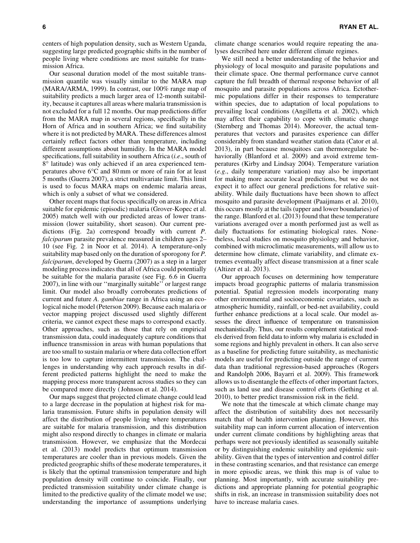centers of high population density, such as Western Uganda, suggesting large predicted geographic shifts in the number of people living where conditions are most suitable for transmission Africa.

Our seasonal duration model of the most suitable transmission quantile was visually similar to the MARA map (MARA/ARMA, 1999). In contrast, our 100% range map of suitability predicts a much larger area of 12-month suitability, because it captures all areas where malaria transmission is not excluded for a full 12 months. Our map predictions differ from the MARA map in several regions, specifically in the Horn of Africa and in southern Africa; we find suitability where it is not predicted by MARA. These differences almost certainly reflect factors other than temperature, including different assumptions about humidity. In the MARA model specifications, full suitability in southern Africa (*i.e*., south of 8° latitude) was only achieved if an area experienced temperatures above 6°C and 80 mm or more of rain for at least 5 months (Guerra 2007), a strict multivariate limit. This limit is used to focus MARA maps on endemic malaria areas, which is only a subset of what we considered.

Other recent maps that focus specifically on areas in Africa suitable for epidemic (episodic) malaria (Grover-Kopec et al. 2005) match well with our predicted areas of lower transmission (lower suitability, short season). Our current predictions (Fig. 2a) correspond broadly with current *P. falciparum* parasite prevalence measured in children ages 2– 10 (see Fig. 2 in Noor et al. 2014). A temperature-only suitability map based only on the duration of sporogony for *P. falciparum*, developed by Guerra (2007) as a step in a larger modeling process indicates that all of Africa could potentially be suitable for the malaria parasite (see Fig. 6.6 in Guerra 2007), in line with our ''marginally suitable'' or largest range limit. Our model also broadly corroborates predictions of current and future *A. gambiae* range in Africa using an ecological niche model (Peterson 2009). Because each malaria or vector mapping project discussed used slightly different criteria, we cannot expect these maps to correspond exactly. Other approaches, such as those that rely on empirical transmission data, could inadequately capture conditions that influence transmission in areas with human populations that are too small to sustain malaria or where data collection effort is too low to capture intermittent transmission. The challenges in understanding why each approach results in different predicted patterns highlight the need to make the mapping process more transparent across studies so they can be compared more directly ( Johnson et al. 2014).

Our maps suggest that projected climate change could lead to a large decrease in the population at highest risk for malaria transmission. Future shifts in population density will affect the distribution of people living where temperatures are suitable for malaria transmission, and this distribution might also respond directly to changes in climate or malaria transmission. However, we emphasize that the Mordecai et al. (2013) model predicts that optimum transmission temperatures are cooler than in previous models. Given the predicted geographic shifts of these moderate temperatures, it is likely that the optimal transmission temperature and high population density will continue to coincide. Finally, our predicted transmission suitability under climate change is limited to the predictive quality of the climate model we use; understanding the importance of assumptions underlying climate change scenarios would require repeating the analyses described here under different climate regimes.

We still need a better understanding of the behavior and physiology of local mosquito and parasite populations and their climate space. One thermal performance curve cannot capture the full breadth of thermal response behavior of all mosquito and parasite populations across Africa. Ectothermic populations differ in their responses to temperature within species, due to adaptation of local populations to prevailing local conditions (Angilletta et al. 2002), which may affect their capability to cope with climatic change (Sternberg and Thomas 2014). Moreover, the actual temperatures that vectors and parasites experience can differ considerably from standard weather station data (Cator et al. 2013), in part because mosquitoes can thermoregulate behaviorally (Blanford et al. 2009) and avoid extreme temperatures (Kirby and Lindsay 2004). Temperature variation (*e.g*., daily temperature variation) may also be important for making more accurate local predictions, but we do not expect it to affect our general predictions for relative suitability. While daily fluctuations have been shown to affect mosquito and parasite development (Paaijmans et al. 2010), this occurs mostly at the tails (upper and lower boundaries) of the range. Blanford et al. (2013) found that these temperature variations averaged over a month performed just as well as daily fluctuations for estimating biological rates. Nonetheless, local studies on mosquito physiology and behavior, combined with microclimatic measurements, will allow us to determine how climate, climate variability, and climate extremes eventually affect disease transmission at a finer scale (Altizer et al. 2013).

Our approach focuses on determining how temperature impacts broad geographic patterns of malaria transmission potential. Spatial regression models incorporating many other environmental and socioeconomic covariates, such as atmospheric humidity, rainfall, or bed-net availability, could further enhance predictions at a local scale. Our model assesses the direct influence of temperature on transmission mechanistically. Thus, our results complement statistical models derived from field data to inform why malaria is excluded in some regions and highly prevalent in others. It can also serve as a baseline for predicting future suitability, as mechanistic models are useful for predicting outside the range of current data than traditional regression-based approaches (Rogers and Randolph 2006, Bayarri et al. 2009). This framework allows us to disentangle the effects of other important factors, such as land use and disease control efforts (Gething et al. 2010), to better predict transmission risk in the field.

We note that the timescale at which climate change may affect the distribution of suitability does not necessarily match that of health intervention planning. However, this suitability map can inform current allocation of intervention under current climate conditions by highlighting areas that perhaps were not previously identified as seasonally suitable or by distinguishing endemic suitability and epidemic suitability. Given that the types of intervention and control differ in these contrasting scenarios, and that resistance can emerge in more episodic areas, we think this map is of value to planning. Most importantly, with accurate suitability predictions and appropriate planning for potential geographic shifts in risk, an increase in transmission suitability does not have to increase malaria cases.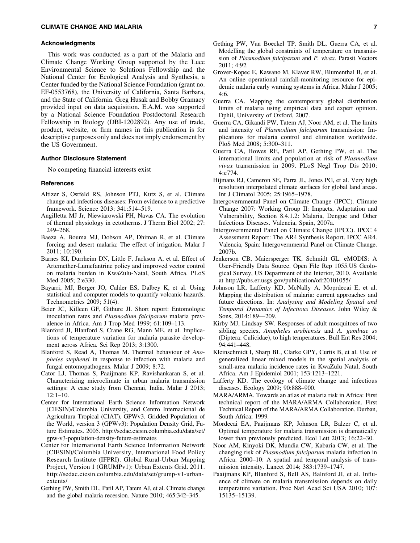#### Acknowledgments

This work was conducted as a part of the Malaria and Climate Change Working Group supported by the Luce Environmental Science to Solutions Fellowship and the National Center for Ecological Analysis and Synthesis, a Center funded by the National Science Foundation (grant no. EF-0553768), the University of California, Santa Barbara, and the State of California. Greg Husak and Bobby Gramacy provided input on data acquisition. E.A.M. was supported by a National Science Foundation Postdoctoral Research Fellowship in Biology (DBI-1202892). Any use of trade, product, website, or firm names in this publication is for descriptive purposes only and does not imply endorsement by the US Government.

## Author Disclosure Statement

No competing financial interests exist

#### **References**

- Altizer S, Ostfeld RS, Johnson PTJ, Kutz S, et al. Climate change and infectious diseases: From evidence to a predictive framework. Science 2013; 341:514–519.
- Angilletta MJ Jr, Niewiarowski PH, Navas CA. The evolution of thermal physiology in ectotherms. J Therm Biol 2002; 27: 249–268.
- Baeza A, Bouma MJ, Dobson AP, Dhiman R, et al. Climate forcing and desert malaria: The effect of irrigation. Malar J 2011; 10:190.
- Barnes KI, Durrheim DN, Little F, Jackson A, et al. Effect of Artemether-Lumefantrine policy and improved vector control on malaria burden in KwaZulu-Natal, South Africa. PLoS Med 2005; 2:e330.
- Bayarri, MJ, Berger JO, Calder ES, Dalbey K, et al. Using statistical and computer models to quantify volcanic hazards. Technometrics 2009; 51(4).
- Beier JC, Killeen GF, Githure JI. Short report: Entomologic inoculation rates and *Plasmodium falciparum* malaria prevalence in Africa. Am J Trop Med 1999; 61:109–113.
- Blanford JI, Blanford S, Crane RG, Mann ME, et al. Implications of temperature variation for malaria parasite development across Africa. Sci Rep 2013; 3:1300.
- Blanford S, Read A, Thomas M. Thermal behaviour of *Anopheles stephensi* in response to infection with malaria and fungal entomopathogens. Malar J 2009; 8:72.
- Cator LJ, Thomas S, Paaijmans KP, Ravishankaran S, et al. Characterizing microclimate in urban malaria transmission settings: A case study from Chennai, India. Malar J 2013; 12:1–10.
- Center for International Earth Science Information Network (CIESIN)/Columbia University, and Centro Internacional de Agricultura Tropical (CIAT). GPWv3. Gridded Population of the World, version 3 (GPWv3): Population Density Grid, Future Estimates. 2005. http://sedac.ciesin.columbia.edu/data/set/ gpw-v3-population-density-future-estimates
- Center for International Earth Science Information Network (CIESIN)/Columbia University, International Food Policy Research Institute (IFPRI). Global Rural-Urban Mapping Project, Version 1 (GRUMPv1): Urban Extents Grid. 2011. http://sedac.ciesin.columbia.edu/data/set/grump-v1-urbanextents/
- Gething PW, Smith DL, Patil AP, Tatem AJ, et al. Climate change and the global malaria recession. Nature 2010; 465:342–345.
- Gething PW, Van Boeckel TP, Smith DL, Guerra CA, et al. Modelling the global constraints of temperature on transmission of *Plasmodium falciparum* and *P. vivax*. Parasit Vectors 2011; 4:92.
- Grover-Kopec E, Kawano M, Klaver RW, Blumenthal B, et al. An online operational rainfall-monitoring resource for epidemic malaria early warning systems in Africa. Malar J 2005; 4:6.
- Guerra CA. Mapping the contemporary global distribution limits of malaria using empirical data and expert opinion. Dphil, University of Oxford, 2007.
- Guerra CA, Gikandi PW, Tatem AJ, Noor AM, et al. The limits and intensity of *Plasmodium falciparum* transmission: Implications for malaria control and elimination worldwide. PloS Med 2008; 5:300–311.
- Guerra CA, Howes RE, Patil AP, Gething PW, et al. The international limits and population at risk of *Plasmodium vivax* transmission in 2009. PLoS Negl Trop Dis 2010; 4:e774.
- Hijmans RJ, Cameron SE, Parra JL, Jones PG, et al. Very high resolution interpolated climate surfaces for global land areas. Int J Climatol 2005; 25:1965–1978.
- Intergovernmental Panel on Climate Change (IPCC). Climate Change 2007: Working Group II: Impacts, Adaptation and Vulnerability, Section 8.4.1.2: Malaria, Dengue and Other Infectious Diseases. Valencia, Spain, 2007a.
- Intergovernmental Panel on Climate Change (IPCC). IPCC 4 Assessment Report: The AR4 Synthesis Report. IPCC AR4. Valencia, Spain: Intergovernmental Panel on Climate Change. 2007b.
- Jenkerson CB, Maiersperger TK, Schmidt GL. eMODIS: A User-Friendly Data Source. Open File Rep 1055.US Geological Survey, US Department of the Interior, 2010. Available at http://pubs.er.usgs.gov/publication/ofr20101055/
- Johnson LR, Lafferty KD, McNally A, Moprdecai E, et al. Mapping the distribution of malaria: current approaches and future directions. In: *Analyzing and Modeling Spatial and Temporal Dynamics of Infectious Diseases*. John Wiley & Sons, 2014:189—209.
- Kirby MJ, Lindsay SW. Responses of adult mosquitoes of two sibling species, *Anopheles arabiensis* and *A. gambiae ss* (Diptera: Culicidae), to high temperatures. Bull Ent Res 2004; 94:441–448.
- Kleinschmidt I, Sharp BL, Clarke GPY, Curtis B, et al. Use of generalized linear mixed models in the spatial analysis of small-area malaria incidence rates in KwaZulu Natal, South Africa. Am J Epidemiol 2001; 153:1213–1221.
- Lafferty KD. The ecology of climate change and infectious diseases. Ecology 2009; 90:888–900.
- MARA/ARMA. Towards an atlas of malaria risk in Africa: First technical report of the MARA/ARMA Collaboration. First Technical Report of the MARA/ARMA Collaboration. Durban, South Africa; 1999.
- Mordecai EA, Paaijmans KP, Johnson LR, Balzer C, et al. Optimal temperature for malaria transmission is dramatically lower than previously predicted. Ecol Lett 2013; 16:22–30.
- Noor AM, Kinyoki DK, Mundia CW, Kabaria CW, et al. The changing risk of *Plasmodium falciparum* malaria infection in Africa: 2000–10: A spatial and temporal analysis of transmission intensity. Lancet 2014; 383:1739–1747.
- Paaijmans KP, Blanford S, Bell AS, Balnford JI, et al. Influence of climate on malaria transmission depends on daily temperature variation. Proc Natl Acad Sci USA 2010; 107: 15135–15139.